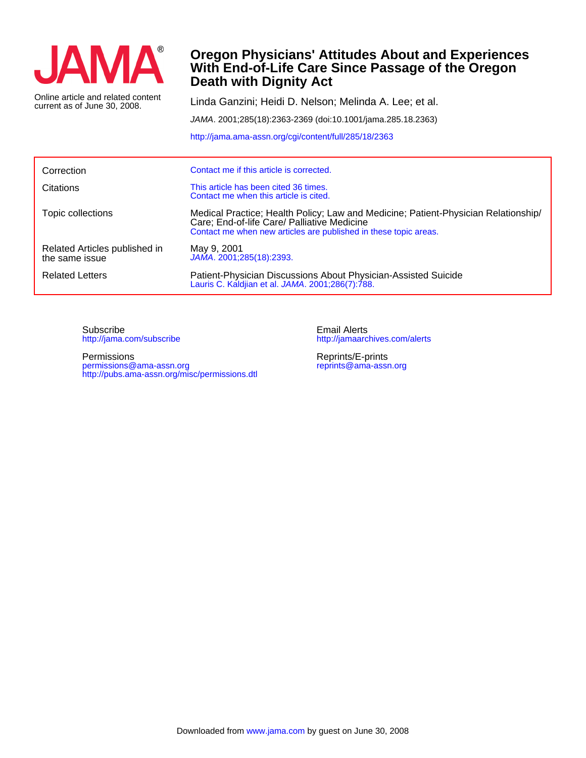

current as of June 30, 2008. Online article and related content

## **Death with Dignity Act With End-of-Life Care Since Passage of the Oregon Oregon Physicians' Attitudes About and Experiences**

Linda Ganzini; Heidi D. Nelson; Melinda A. Lee; et al.

JAMA. 2001;285(18):2363-2369 (doi:10.1001/jama.285.18.2363)

<http://jama.ama-assn.org/cgi/content/full/285/18/2363>

| Correction                                      | Contact me if this article is corrected.                                                                                                                                                              |
|-------------------------------------------------|-------------------------------------------------------------------------------------------------------------------------------------------------------------------------------------------------------|
| Citations                                       | This article has been cited 36 times.<br>Contact me when this article is cited.                                                                                                                       |
| Topic collections                               | Medical Practice; Health Policy; Law and Medicine; Patient-Physician Relationship/<br>Care; End-of-life Care/ Palliative Medicine<br>Contact me when new articles are published in these topic areas. |
| Related Articles published in<br>the same issue | May 9, 2001<br>JAMA. 2001;285(18):2393.                                                                                                                                                               |
| <b>Related Letters</b>                          | Patient-Physician Discussions About Physician-Assisted Suicide<br>Lauris C. Kaldjian et al. JAMA. 2001;286(7):788.                                                                                    |

<http://jama.com/subscribe> Subscribe

<http://pubs.ama-assn.org/misc/permissions.dtl> permissions@ama-assn.org Permissions

<http://jamaarchives.com/alerts> Email Alerts

[reprints@ama-assn.org](mailto:reprints@ama-assn.org) Reprints/E-prints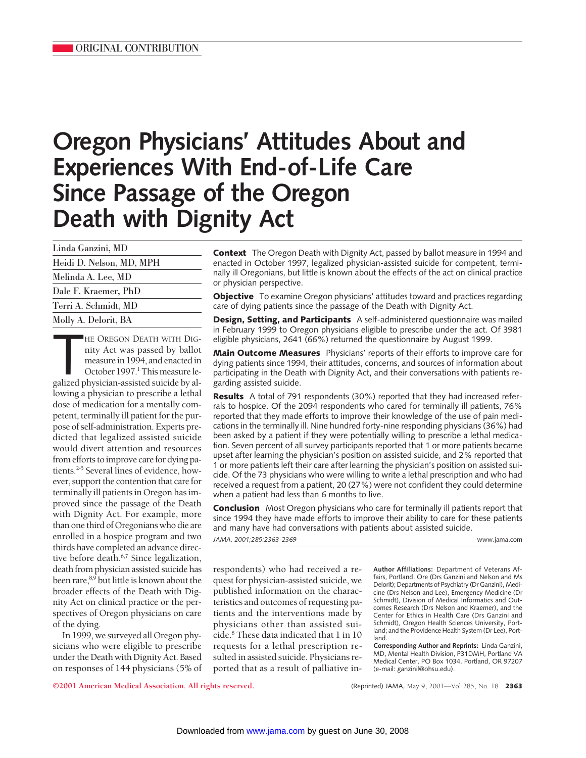# **Oregon Physicians' Attitudes About and Experiences With End-of-Life Care Since Passage of the Oregon Death with Dignity Act**

| Linda Ganzini, MD        |  |
|--------------------------|--|
| Heidi D. Nelson, MD, MPH |  |
| Melinda A. Lee, MD       |  |
| Dale F. Kraemer, PhD     |  |
| Terri A. Schmidt, MD     |  |
| Molly A. Delorit, BA     |  |

HE OREGON DEATH WITH DIG-<br>
nity Act was passed by ballot<br>
measure in 1994, and enacted in<br>
October 1997.<sup>1</sup> This measure le-<br>
galized physician-assisted suicide by al-HE OREGON DEATH WITH DIGnity Act was passed by ballot measure in 1994, and enacted in October 1997.<sup>1</sup> This measure lelowing a physician to prescribe a lethal dose of medication for a mentally competent, terminally ill patient for the purpose of self-administration. Experts predicted that legalized assisted suicide would divert attention and resources from efforts to improve care for dying patients.2-5 Several lines of evidence, however, support the contention that care for terminally ill patients in Oregon has improved since the passage of the Death with Dignity Act. For example, more than one third of Oregonians who die are enrolled in a hospice program and two thirds have completed an advance directive before death.<sup>6,7</sup> Since legalization, death from physician assisted suicide has been rare,<sup>8,9</sup> but little is known about the broader effects of the Death with Dignity Act on clinical practice or the perspectives of Oregon physicians on care of the dying.

In 1999, we surveyed all Oregon physicians who were eligible to prescribe under the Death with Dignity Act. Based on responses of 144 physicians (5% of **Context** The Oregon Death with Dignity Act, passed by ballot measure in 1994 and enacted in October 1997, legalized physician-assisted suicide for competent, terminally ill Oregonians, but little is known about the effects of the act on clinical practice or physician perspective.

**Objective** To examine Oregon physicians' attitudes toward and practices regarding care of dying patients since the passage of the Death with Dignity Act.

**Design, Setting, and Participants** A self-administered questionnaire was mailed in February 1999 to Oregon physicians eligible to prescribe under the act. Of 3981 eligible physicians, 2641 (66%) returned the questionnaire by August 1999.

**Main Outcome Measures** Physicians' reports of their efforts to improve care for dying patients since 1994, their attitudes, concerns, and sources of information about participating in the Death with Dignity Act, and their conversations with patients regarding assisted suicide.

**Results** A total of 791 respondents (30%) reported that they had increased referrals to hospice. Of the 2094 respondents who cared for terminally ill patients, 76% reported that they made efforts to improve their knowledge of the use of pain medications in the terminally ill. Nine hundred forty-nine responding physicians (36%) had been asked by a patient if they were potentially willing to prescribe a lethal medication. Seven percent of all survey participants reported that 1 or more patients became upset after learning the physician's position on assisted suicide, and 2% reported that 1 or more patients left their care after learning the physician's position on assisted suicide. Of the 73 physicians who were willing to write a lethal prescription and who had received a request from a patient, 20 (27%) were not confident they could determine when a patient had less than 6 months to live.

**Conclusion** Most Oregon physicians who care for terminally ill patients report that since 1994 they have made efforts to improve their ability to care for these patients and many have had conversations with patients about assisted suicide.

*JAMA. 2001;285:2363-2369* www.jama.com

respondents) who had received a request for physician-assisted suicide, we published information on the characteristics and outcomes of requesting patients and the interventions made by physicians other than assisted suicide.8 These data indicated that 1 in 10 requests for a lethal prescription resulted in assisted suicide. Physicians reported that as a result of palliative in-

**Author Affiliations:** Department of Veterans Affairs, Portland, Ore (Drs Ganzini and Nelson and Ms Delorit); Departments of Psychiatry (Dr Ganzini), Medicine (Drs Nelson and Lee), Emergency Medicine (Dr Schmidt), Division of Medical Informatics and Outcomes Research (Drs Nelson and Kraemer), and the Center for Ethics in Health Care (Drs Ganzini and Schmidt), Oregon Health Sciences University, Portland; and the Providence Health System (Dr Lee), Portland.

**Corresponding Author and Reprints:** Linda Ganzini, MD, Mental Health Division, P31DMH, Portland VA Medical Center, PO Box 1034, Portland, OR 97207 (e-mail: ganzinil@ohsu.edu).

**©2001 American Medical Association. All rights reserved.** (Reprinted) JAMA, May 9, 2001—Vol 285, No. 18 **2363**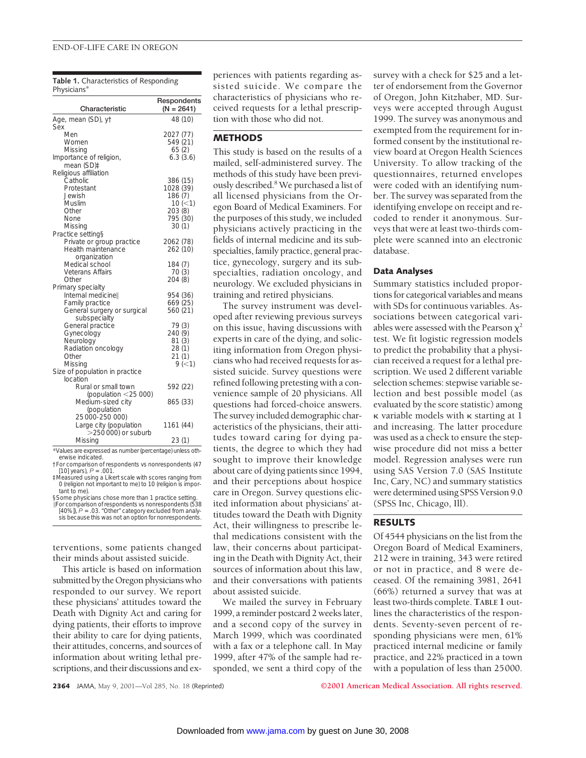#### END-OF-LIFE CARE IN OREGON

**Table 1.** Characteristics of Responding Physicians\*

| Characteristic                                                                                                          | Respondents<br>$(N = 2641)$                                                  |
|-------------------------------------------------------------------------------------------------------------------------|------------------------------------------------------------------------------|
| Age, mean (SD), yt<br>Sex                                                                                               | 48 (10)                                                                      |
| Men<br>Women<br>Missing<br>Importance of religion,<br>mean (SD)‡                                                        | 2027 (77)<br>549 (21)<br>65(2)<br>6.3(3.6)                                   |
| Religious affiliation<br>Catholic<br>Protestant<br>Jewish<br>Muslim<br>Other<br>None<br>Missing<br>Practice setting§    | 386 (15)<br>1028 (39)<br>186 (7)<br>10 (< 1)<br>203 (8)<br>795 (30)<br>30(1) |
| Private or group practice<br>Health maintenance<br>organization                                                         | 2062 (78)<br>262 (10)                                                        |
| Medical school<br><b>Veterans Affairs</b><br>Other                                                                      | 184(7)<br>70(3)<br>204 (8)                                                   |
| Primary specialty<br>Internal medicinell<br>Family practice<br>General surgery or surgical<br>subspecialty              | 954 (36)<br>669 (25)<br>560 (21)                                             |
| General practice<br>Gynecology<br>Neurology<br>Radiation oncology<br>Other<br>Missing<br>Size of population in practice | 79(3)<br>240 (9)<br>81(3)<br>28(1)<br>21(1)<br>9 (< 1)                       |
| location<br>Rural or small town                                                                                         | 592 (22)                                                                     |
| (population $<$ 25 000)<br>Medium-sized city<br>(population                                                             | 865 (33)                                                                     |
| 25 000-250 000)<br>Large city (population<br>$>$ 250 000) or suburb                                                     | 1161 (44)                                                                    |
| Missing                                                                                                                 | 23(1)                                                                        |

\*Values are expressed as number (percentage) unless otherwise indicated.

†For comparison of respondents vs nonrespondents (47 [10] years), *P* = .001. ‡Measured using a Likert scale with scores ranging from

0 (religion not important to me) to 10 (religion is important to me).

§Some physicians chose more than 1 practice setting.

\For comparison of respondents vs nonrespondents (538 [40%]), *P* = .03. "Other" category excluded from analysis because this was not an option for nonrespondents.

terventions, some patients changed their minds about assisted suicide.

This article is based on information submitted by the Oregon physicians who responded to our survey. We report these physicians' attitudes toward the Death with Dignity Act and caring for dying patients, their efforts to improve their ability to care for dying patients, their attitudes, concerns, and sources of information about writing lethal prescriptions, and their discussions and experiences with patients regarding assisted suicide. We compare the characteristics of physicians who received requests for a lethal prescription with those who did not.

## **METHODS**

This study is based on the results of a mailed, self-administered survey. The methods of this study have been previously described.8 We purchased a list of all licensed physicians from the Oregon Board of Medical Examiners. For the purposes of this study, we included physicians actively practicing in the fields of internal medicine and its subspecialties, family practice, general practice, gynecology, surgery and its subspecialties, radiation oncology, and neurology. We excluded physicians in training and retired physicians.

The survey instrument was developed after reviewing previous surveys on this issue, having discussions with experts in care of the dying, and soliciting information from Oregon physicians who had received requests for assisted suicide. Survey questions were refined following pretesting with a convenience sample of 20 physicians. All questions had forced-choice answers. The survey included demographic characteristics of the physicians, their attitudes toward caring for dying patients, the degree to which they had sought to improve their knowledge about care of dying patients since 1994, and their perceptions about hospice care in Oregon. Survey questions elicited information about physicians' attitudes toward the Death with Dignity Act, their willingness to prescribe lethal medications consistent with the law, their concerns about participating in the Death with Dignity Act, their sources of information about this law, and their conversations with patients about assisted suicide.

We mailed the survey in February 1999, a reminder postcard 2 weeks later, and a second copy of the survey in March 1999, which was coordinated with a fax or a telephone call. In May 1999, after 47% of the sample had responded, we sent a third copy of the survey with a check for \$25 and a letter of endorsement from the Governor of Oregon, John Kitzhaber, MD. Surveys were accepted through August 1999. The survey was anonymous and exempted from the requirement for informed consent by the institutional review board at Oregon Health Sciences University. To allow tracking of the questionnaires, returned envelopes were coded with an identifying number. The survey was separated from the identifying envelope on receipt and recoded to render it anonymous. Surveys that were at least two-thirds complete were scanned into an electronic database.

## **Data Analyses**

Summary statistics included proportions for categorical variables and means with SDs for continuous variables. Associations between categorical variables were assessed with the Pearson  $\chi^2$ test. We fit logistic regression models to predict the probability that a physician received a request for a lethal prescription. We used 2 different variable selection schemes: stepwise variable selection and best possible model (as evaluated by the score statistic) among  $\kappa$  variable models with  $\kappa$  starting at 1 and increasing. The latter procedure was used as a check to ensure the stepwise procedure did not miss a better model. Regression analyses were run using SAS Version 7.0 (SAS Institute Inc, Cary, NC) and summary statistics were determined using SPSS Version 9.0 (SPSS Inc, Chicago, Ill).

## **RESULTS**

Of 4544 physicians on the list from the Oregon Board of Medical Examiners, 212 were in training, 343 were retired or not in practice, and 8 were deceased. Of the remaining 3981, 2641 (66%) returned a survey that was at least two-thirds complete. **TABLE 1** outlines the characteristics of the respondents. Seventy-seven percent of responding physicians were men, 61% practiced internal medicine or family practice, and 22% practiced in a town with a population of less than 25000.

**2364** JAMA, May 9, 2001—Vol 285, No. 18 (Reprinted) **©2001 American Medical Association. All rights reserved.**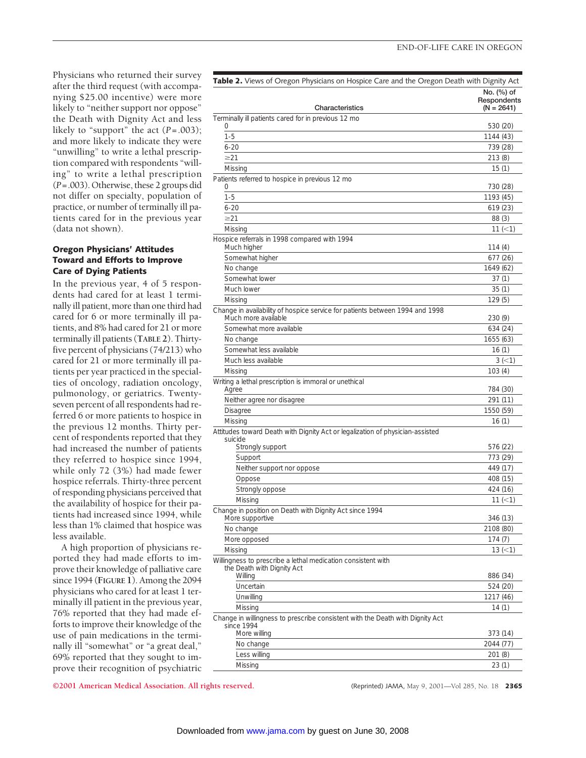Physicians who returned their survey after the third request (with accompanying \$25.00 incentive) were more likely to "neither support nor oppose" the Death with Dignity Act and less likely to "support" the act  $(P=.003)$ ; and more likely to indicate they were "unwilling" to write a lethal prescription compared with respondents "willing" to write a lethal prescription (*P*=.003). Otherwise, these 2 groups did not differ on specialty, population of practice, or number of terminally ill patients cared for in the previous year (data not shown).

## **Oregon Physicians' Attitudes Toward and Efforts to Improve Care of Dying Patients**

In the previous year, 4 of 5 respondents had cared for at least 1 terminally ill patient, more than one third had cared for 6 or more terminally ill patients, and 8% had cared for 21 or more terminally ill patients (**TABLE 2**). Thirtyfive percent of physicians (74/213) who cared for 21 or more terminally ill patients per year practiced in the specialties of oncology, radiation oncology, pulmonology, or geriatrics. Twentyseven percent of all respondents had referred 6 or more patients to hospice in the previous 12 months. Thirty percent of respondents reported that they had increased the number of patients they referred to hospice since 1994, while only 72 (3%) had made fewer hospice referrals. Thirty-three percent of responding physicians perceived that the availability of hospice for their patients had increased since 1994, while less than 1% claimed that hospice was less available.

A high proportion of physicians reported they had made efforts to improve their knowledge of palliative care since 1994 (**FIGURE 1**). Among the 2094 physicians who cared for at least 1 terminally ill patient in the previous year, 76% reported that they had made efforts to improve their knowledge of the use of pain medications in the terminally ill "somewhat" or "a great deal," 69% reported that they sought to improve their recognition of psychiatric

| Table 2. Views of Oregon Physicians on Hospice Care and the Oregon Death with Dignity Act           |                                           |  |
|-----------------------------------------------------------------------------------------------------|-------------------------------------------|--|
| Characteristics                                                                                     | No. (%) of<br>Respondents<br>$(N = 2641)$ |  |
| Terminally ill patients cared for in previous 12 mo                                                 |                                           |  |
|                                                                                                     | 530 (20)                                  |  |
| $1 - 5$                                                                                             | 1144 (43)                                 |  |
| $6 - 20$                                                                                            | 739 (28)                                  |  |
| $\geq$ 21                                                                                           | 213 (8)                                   |  |
| Missing                                                                                             | 15(1)                                     |  |
| Patients referred to hospice in previous 12 mo                                                      |                                           |  |
| O                                                                                                   | 730 (28)                                  |  |
| $1 - 5$                                                                                             | 1193 (45)                                 |  |
| $6 - 20$                                                                                            | 619 (23)                                  |  |
| $\geq$ 21                                                                                           | 88 (3)                                    |  |
| Missing                                                                                             | 11 (< 1)                                  |  |
| Hospice referrals in 1998 compared with 1994<br>Much higher                                         | 114 (4)                                   |  |
| Somewhat higher                                                                                     | 677 (26)                                  |  |
| No change                                                                                           | 1649 (62)                                 |  |
| Somewhat lower                                                                                      | 37(1)                                     |  |
| Much lower                                                                                          | 35(1)                                     |  |
| Missing                                                                                             | 129 (5)                                   |  |
| Change in availability of hospice service for patients between 1994 and 1998<br>Much more available | 230 (9)                                   |  |
| Somewhat more available                                                                             | 634 (24)                                  |  |
| No change                                                                                           | 1655 (63)                                 |  |
| Somewhat less available                                                                             | 16(1)                                     |  |
| Much less available                                                                                 | $3 (-1)$                                  |  |
| Missing                                                                                             | 103(4)                                    |  |
| Writing a lethal prescription is immoral or unethical<br>Agree                                      | 784 (30)                                  |  |
| Neither agree nor disagree                                                                          | 291 (11)                                  |  |
| Disagree                                                                                            | 1550 (59)                                 |  |
| Missing                                                                                             | 16(1)                                     |  |
| Attitudes toward Death with Dignity Act or legalization of physician-assisted<br>suicide            |                                           |  |
| Strongly support                                                                                    | 576 (22)                                  |  |
| Support                                                                                             | 773 (29)                                  |  |
| Neither support nor oppose                                                                          | 449 (17)                                  |  |
| Oppose                                                                                              | 408 (15)                                  |  |
| Strongly oppose                                                                                     | 424 (16)                                  |  |
| Missing                                                                                             | 11 (< 1)                                  |  |
| Change in position on Death with Dignity Act since 1994<br>More supportive                          | 346 (13)                                  |  |
| No change                                                                                           | 2108 (80)                                 |  |
| More opposed                                                                                        | 174 (7)                                   |  |
| Missing                                                                                             | $13 (=1)$                                 |  |
| Willingness to prescribe a lethal medication consistent with<br>the Death with Dignity Act          |                                           |  |
| Willing                                                                                             | 886 (34)                                  |  |
| Uncertain                                                                                           | 524 (20)                                  |  |
| Unwilling                                                                                           | 1217 (46)                                 |  |
| Missing<br>Change in willingness to prescribe consistent with the Death with Dignity Act            | 14 (1)                                    |  |
| since 1994<br>More willing                                                                          | 373 (14)                                  |  |
| No change                                                                                           | 2044 (77)                                 |  |
| Less willing                                                                                        | 201 (8)                                   |  |
| Missing                                                                                             | 23(1)                                     |  |
|                                                                                                     |                                           |  |

**©2001 American Medical Association. All rights reserved.** (Reprinted) JAMA, May 9, 2001—Vol 285, No. 18 **2365**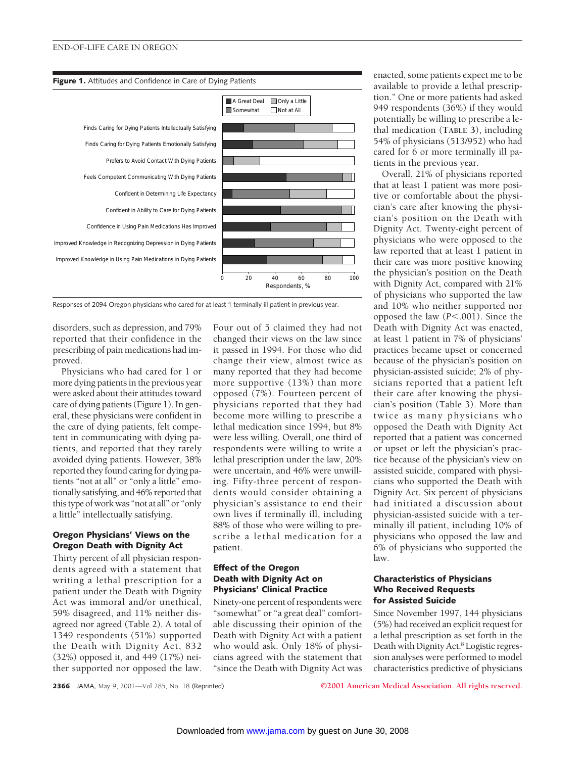#### END-OF-LIFE CARE IN OREGON

#### **Figure 1.** Attitudes and Confidence in Care of Dying Patients



Responses of 2094 Oregon physicians who cared for at least 1 terminally ill patient in previous year.

disorders, such as depression, and 79% reported that their confidence in the prescribing of pain medications had improved.

Physicians who had cared for 1 or more dying patients in the previous year were asked about their attitudes toward care of dying patients (Figure 1). In general, these physicians were confident in the care of dying patients, felt competent in communicating with dying patients, and reported that they rarely avoided dying patients. However, 38% reported they found caring for dying patients "not at all" or "only a little" emotionally satisfying, and 46% reported that this type of work was "not at all" or "only a little" intellectually satisfying.

## **Oregon Physicians' Views on the Oregon Death with Dignity Act**

Thirty percent of all physician respondents agreed with a statement that writing a lethal prescription for a patient under the Death with Dignity Act was immoral and/or unethical, 59% disagreed, and 11% neither disagreed nor agreed (Table 2). A total of 1349 respondents (51%) supported the Death with Dignity Act, 832 (32%) opposed it, and 449 (17%) neither supported nor opposed the law.

Four out of 5 claimed they had not changed their views on the law since it passed in 1994. For those who did change their view, almost twice as many reported that they had become more supportive (13%) than more opposed (7%). Fourteen percent of physicians reported that they had become more willing to prescribe a lethal medication since 1994, but 8% were less willing. Overall, one third of respondents were willing to write a lethal prescription under the law, 20% were uncertain, and 46% were unwilling. Fifty-three percent of respondents would consider obtaining a physician's assistance to end their own lives if terminally ill, including 88% of those who were willing to prescribe a lethal medication for a patient.

## **Effect of the Oregon Death with Dignity Act on Physicians' Clinical Practice**

Ninety-one percent of respondents were "somewhat" or "a great deal" comfortable discussing their opinion of the Death with Dignity Act with a patient who would ask. Only 18% of physicians agreed with the statement that "since the Death with Dignity Act was

enacted, some patients expect me to be available to provide a lethal prescription." One or more patients had asked 949 respondents (36%) if they would potentially be willing to prescribe a lethal medication (**TABLE 3**), including 54% of physicians (513/952) who had cared for 6 or more terminally ill patients in the previous year.

Overall, 21% of physicians reported that at least 1 patient was more positive or comfortable about the physician's care after knowing the physician's position on the Death with Dignity Act. Twenty-eight percent of physicians who were opposed to the law reported that at least 1 patient in their care was more positive knowing the physician's position on the Death with Dignity Act, compared with 21% of physicians who supported the law and 10% who neither supported nor opposed the law  $(P<.001)$ . Since the Death with Dignity Act was enacted, at least 1 patient in 7% of physicians' practices became upset or concerned because of the physician's position on physician-assisted suicide; 2% of physicians reported that a patient left their care after knowing the physician's position (Table 3). More than twice as many physicians who opposed the Death with Dignity Act reported that a patient was concerned or upset or left the physician's practice because of the physician's view on assisted suicide, compared with physicians who supported the Death with Dignity Act. Six percent of physicians had initiated a discussion about physician-assisted suicide with a terminally ill patient, including 10% of physicians who opposed the law and 6% of physicians who supported the law.

## **Characteristics of Physicians Who Received Requests for Assisted Suicide**

Since November 1997, 144 physicians (5%) had received an explicit request for a lethal prescription as set forth in the Death with Dignity Act.<sup>8</sup> Logistic regression analyses were performed to model characteristics predictive of physicians

**2366** JAMA, May 9, 2001—Vol 285, No. 18 (Reprinted) **©2001 American Medical Association. All rights reserved.**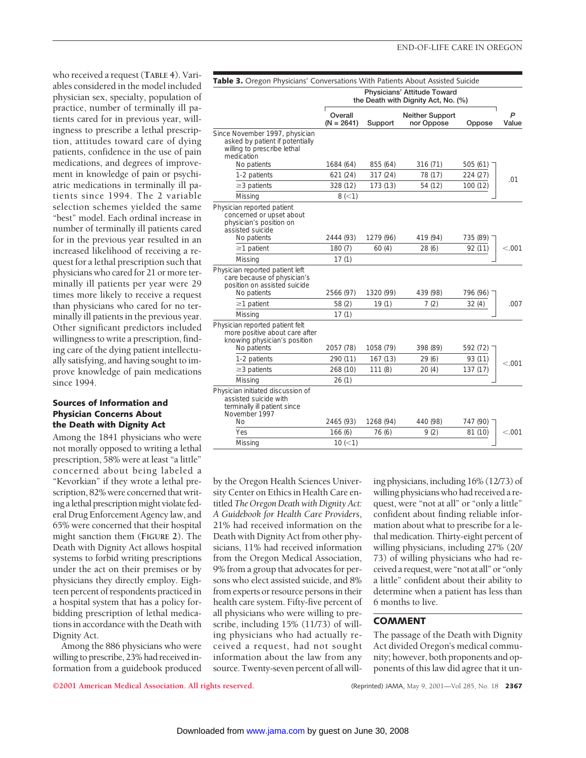who received a request (**TABLE 4**). Variables considered in the model included physician sex, specialty, population of practice, number of terminally ill patients cared for in previous year, willingness to prescribe a lethal prescription, attitudes toward care of dying patients, confidence in the use of pain medications, and degrees of improvement in knowledge of pain or psychiatric medications in terminally ill patients since 1994. The 2 variable selection schemes yielded the same "best" model. Each ordinal increase in number of terminally ill patients cared for in the previous year resulted in an increased likelihood of receiving a request for a lethal prescription such that physicians who cared for 21 or more terminally ill patients per year were 29 times more likely to receive a request than physicians who cared for no terminally ill patients in the previous year. Other significant predictors included willingness to write a prescription, finding care of the dying patient intellectually satisfying, and having sought to improve knowledge of pain medications since 1994.

## **Sources of Information and Physician Concerns About the Death with Dignity Act**

Among the 1841 physicians who were not morally opposed to writing a lethal prescription, 58% were at least "a little" concerned about being labeled a "Kevorkian" if they wrote a lethal prescription, 82% were concerned that writing a lethal prescription might violate federal Drug Enforcement Agency law, and 65% were concerned that their hospital might sanction them (**FIGURE 2**). The Death with Dignity Act allows hospital systems to forbid writing prescriptions under the act on their premises or by physicians they directly employ. Eighteen percent of respondents practiced in a hospital system that has a policy forbidding prescription of lethal medications in accordance with the Death with Dignity Act.

Among the 886 physicians who were willing to prescribe, 23% had received information from a guidebook produced

| <b>Table 3.</b> Oregon Physicians' Conversations With Patients About Assisted Suicide                              |                                                                    |           |                               |          |            |
|--------------------------------------------------------------------------------------------------------------------|--------------------------------------------------------------------|-----------|-------------------------------|----------|------------|
|                                                                                                                    | Physicians' Attitude Toward<br>the Death with Dignity Act, No. (%) |           |                               |          |            |
|                                                                                                                    | Overall<br>$(N = 2641)$                                            | Support   | Neither Support<br>nor Oppose | Oppose   | P<br>Value |
| Since November 1997, physician<br>asked by patient if potentially<br>willing to prescribe lethal<br>medication     |                                                                    |           |                               |          |            |
| No patients                                                                                                        | 1684 (64)                                                          | 855 (64)  | 316 (71)                      | 505(61)  |            |
| 1-2 patients                                                                                                       | 621 (24)                                                           | 317 (24)  | 78 (17)                       | 224 (27) | .01        |
| $\geq$ 3 patients                                                                                                  | 328 (12)                                                           | 173 (13)  | 54 (12)                       | 100 (12) |            |
| Missing                                                                                                            | 8 (< 1)                                                            |           |                               |          |            |
| Physician reported patient<br>concerned or upset about<br>physician's position on<br>assisted suicide              |                                                                    |           |                               |          |            |
| No patients                                                                                                        | 2444 (93)                                                          | 1279 (96) | 419 (94)                      | 735 (89) |            |
| $\geq$ 1 patient<br>Missing                                                                                        | 180(7)<br>17(1)                                                    | 60(4)     | 28(6)                         | 92 (11)  | < 0.001    |
| Physician reported patient left<br>care because of physician's<br>position on assisted suicide<br>No patients      | 2566 (97)                                                          | 1320 (99) | 439 (98)                      | 796 (96) |            |
| $\geq$ 1 patient                                                                                                   | 58(2)                                                              | 19(1)     | 7(2)                          | 32(4)    | .007       |
| Missing                                                                                                            | 17(1)                                                              |           |                               |          |            |
| Physician reported patient felt<br>more positive about care after<br>knowing physician's position<br>No patients   | 2057 (78)                                                          | 1058 (79) | 398 (89)                      | 592 (72) |            |
| 1-2 patients                                                                                                       | 290 (11)                                                           | 167(13)   | 29(6)                         | 93 (11)  | < 0.01     |
| $\geq$ 3 patients                                                                                                  | 268 (10)                                                           | 111(8)    | 20(4)                         | 137 (17) |            |
| Missing                                                                                                            | 26(1)                                                              |           |                               |          |            |
| Physician initiated discussion of<br>assisted suicide with<br>terminally ill patient since<br>November 1997<br>No. | 2465 (93)                                                          | 1268 (94) | 440 (98)                      | 747 (90) |            |
| Yes                                                                                                                | 166(6)                                                             | 76 (6)    | 9(2)                          | 81 (10)  | < 0.001    |
| Missing                                                                                                            | $10 (=1)$                                                          |           |                               |          |            |

by the Oregon Health Sciences University Center on Ethics in Health Care entitled *The Oregon Death with Dignity Act: A Guidebook for Health Care Providers*, 21% had received information on the Death with Dignity Act from other physicians, 11% had received information from the Oregon Medical Association, 9% from a group that advocates for persons who elect assisted suicide, and 8% from experts or resource persons in their health care system. Fifty-five percent of all physicians who were willing to prescribe, including 15% (11/73) of willing physicians who had actually received a request, had not sought information about the law from any source. Twenty-seven percent of all willing physicians, including 16% (12/73) of willing physicians who had received a request, were "not at all" or "only a little" confident about finding reliable information about what to prescribe for a lethal medication. Thirty-eight percent of willing physicians, including 27% (20/ 73) of willing physicians who had received a request, were "not at all" or "only a little" confident about their ability to determine when a patient has less than 6 months to live.

## **COMMENT**

The passage of the Death with Dignity Act divided Oregon's medical community; however, both proponents and opponents of this law did agree that it un-

**©2001 American Medical Association. All rights reserved.** (Reprinted) JAMA, May 9, 2001—Vol 285, No. 18 **2367**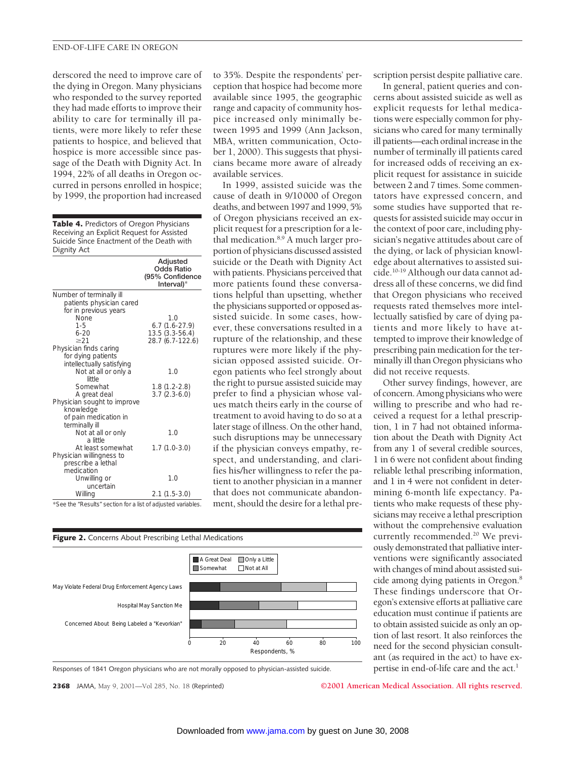#### END-OF-LIFE CARE IN OREGON

derscored the need to improve care of the dying in Oregon. Many physicians who responded to the survey reported they had made efforts to improve their ability to care for terminally ill patients, were more likely to refer these patients to hospice, and believed that hospice is more accessible since passage of the Death with Dignity Act. In 1994, 22% of all deaths in Oregon occurred in persons enrolled in hospice; by 1999, the proportion had increased

**Table 4.** Predictors of Oregon Physicians Receiving an Explicit Request for Assisted Suicide Since Enactment of the Death with Dignity Act

|                                                              | Adjusted<br><b>Odds Ratio</b><br>(95% Confidence<br>Interval)* |
|--------------------------------------------------------------|----------------------------------------------------------------|
| Number of terminally ill                                     |                                                                |
| patients physician cared                                     |                                                                |
| for in previous years                                        |                                                                |
| None                                                         | 1.0                                                            |
| $1 - 5$                                                      | $6.7(1.6-27.9)$                                                |
| $6-20$                                                       | $13.5(3.3-56.4)$                                               |
| $\geq$ 21                                                    | 28.7 (6.7-122.6)                                               |
| Physician finds caring                                       |                                                                |
| for dying patients<br>intellectually satisfying              |                                                                |
| Not at all or only a                                         | 1.0                                                            |
| little                                                       |                                                                |
| Somewhat                                                     | $1.8(1.2-2.8)$                                                 |
| A great deal                                                 | $3.7(2.3-6.0)$                                                 |
| Physician sought to improve                                  |                                                                |
| knowledge                                                    |                                                                |
| of pain medication in                                        |                                                                |
| terminally ill                                               |                                                                |
| Not at all or only                                           | 1.0                                                            |
| a little                                                     |                                                                |
| At least somewhat                                            | $1.7(1.0-3.0)$                                                 |
| Physician willingness to                                     |                                                                |
| prescribe a lethal                                           |                                                                |
| medication                                                   |                                                                |
| Unwilling or                                                 | 1.0                                                            |
| uncertain                                                    |                                                                |
| Willing                                                      | $2.1(1.5-3.0)$                                                 |
| *See the "Results" section for a list of adjusted variables. |                                                                |

to 35%. Despite the respondents' perception that hospice had become more available since 1995, the geographic range and capacity of community hospice increased only minimally between 1995 and 1999 (Ann Jackson, MBA, written communication, October 1, 2000). This suggests that physicians became more aware of already available services.

In 1999, assisted suicide was the cause of death in 9/10000 of Oregon deaths, and between 1997 and 1999, 5% of Oregon physicians received an explicit request for a prescription for a lethal medication.8,9 A much larger proportion of physicians discussed assisted suicide or the Death with Dignity Act with patients. Physicians perceived that more patients found these conversations helpful than upsetting, whether the physicians supported or opposed assisted suicide. In some cases, however, these conversations resulted in a rupture of the relationship, and these ruptures were more likely if the physician opposed assisted suicide. Oregon patients who feel strongly about the right to pursue assisted suicide may prefer to find a physician whose values match theirs early in the course of treatment to avoid having to do so at a later stage of illness. On the other hand, such disruptions may be unnecessary if the physician conveys empathy, respect, and understanding, and clarifies his/her willingness to refer the patient to another physician in a manner that does not communicate abandonment, should the desire for a lethal pre-



Responses of 1841 Oregon physicians who are not morally opposed to physician-assisted suicide.

**2368** JAMA, May 9, 2001—Vol 285, No. 18 (Reprinted) **©2001 American Medical Association. All rights reserved.**

scription persist despite palliative care.

In general, patient queries and concerns about assisted suicide as well as explicit requests for lethal medications were especially common for physicians who cared for many terminally ill patients—each ordinal increase in the number of terminally ill patients cared for increased odds of receiving an explicit request for assistance in suicide between 2 and 7 times. Some commentators have expressed concern, and some studies have supported that requests for assisted suicide may occur in the context of poor care, including physician's negative attitudes about care of the dying, or lack of physician knowledge about alternatives to assisted suicide.10-19 Although our data cannot address all of these concerns, we did find that Oregon physicians who received requests rated themselves more intellectually satisfied by care of dying patients and more likely to have attempted to improve their knowledge of prescribing pain medication for the terminally ill than Oregon physicians who did not receive requests.

Other survey findings, however, are of concern. Among physicians who were willing to prescribe and who had received a request for a lethal prescription, 1 in 7 had not obtained information about the Death with Dignity Act from any 1 of several credible sources, 1 in 6 were not confident about finding reliable lethal prescribing information, and 1 in 4 were not confident in determining 6-month life expectancy. Patients who make requests of these physicians may receive a lethal prescription without the comprehensive evaluation currently recommended.<sup>20</sup> We previously demonstrated that palliative interventions were significantly associated with changes of mind about assisted suicide among dying patients in Oregon.8 These findings underscore that Oregon's extensive efforts at palliative care education must continue if patients are to obtain assisted suicide as only an option of last resort. It also reinforces the need for the second physician consultant (as required in the act) to have expertise in end-of-life care and the act.<sup>1</sup>